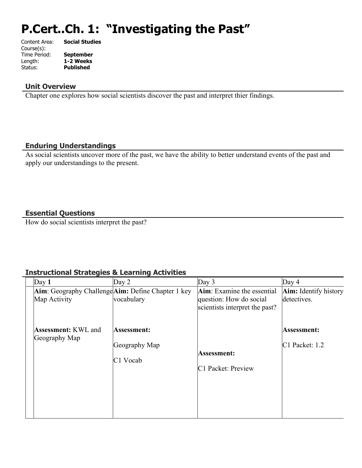# **P.Cert..Ch. 1: "Investigating the Past"**

| Content Area: | <b>Social Studies</b> |
|---------------|-----------------------|
| Course(s):    |                       |
| Time Period:  | <b>September</b>      |
| Length:       | 1-2 Weeks             |
| Status:       | <b>Published</b>      |
|               |                       |

### **Unit Overview**

Chapter one explores how social scientists discover the past and interpret thier findings.

#### **Enduring Understandings**

As social scientists uncover more of the past, we have the ability to better understand events of the past and apply our understandings to the present.

### **Essential Questions**

How do social scientists interpret the past?

#### **Instructional Strategies & Learning Activities**

|  | Day 1                      | Day $2$                                            | Day $3$                                                   | Day $4$                      |
|--|----------------------------|----------------------------------------------------|-----------------------------------------------------------|------------------------------|
|  |                            | Aim: Geography Challenge Aim: Define Chapter 1 key | <b>Aim</b> : Examine the essential                        | <b>Aim:</b> Identify history |
|  | Map Activity               | vocabulary                                         | question: How do social<br>scientists interpret the past? | detectives.                  |
|  | <b>Assessment:</b> KWL and | Assessment:                                        |                                                           | Assessment:                  |
|  | Geography Map              | Geography Map                                      |                                                           | $CI$ Packet: 1.2             |
|  |                            |                                                    | Assessment:                                               |                              |
|  |                            | $ C1 \text{ Vocab} $                               | C1 Packet: Preview                                        |                              |
|  |                            |                                                    |                                                           |                              |
|  |                            |                                                    |                                                           |                              |
|  |                            |                                                    |                                                           |                              |
|  |                            |                                                    |                                                           |                              |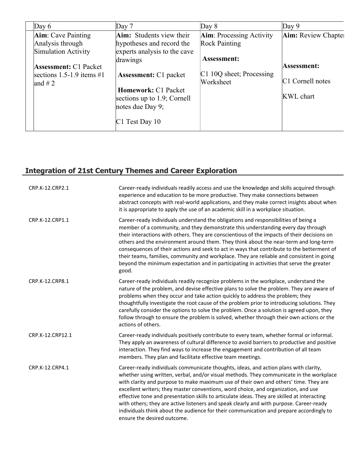| Day $6$                      | Day 7                           | Day $8$                         | Day 9                      |
|------------------------------|---------------------------------|---------------------------------|----------------------------|
| <b>Aim:</b> Cave Painting    | <b>Aim:</b> Students view their | <b>Aim:</b> Processing Activity | <b>Aim:</b> Review Chaptel |
| Analysis through             | hypotheses and record the       | <b>Rock Painting</b>            |                            |
| Simulation Activity          | experts analysis to the cave    |                                 |                            |
|                              | drawings                        | <b>Assessment:</b>              |                            |
| <b>Assessment: C1 Packet</b> |                                 |                                 | Assessment:                |
| sections 1.5-1.9 items $#1$  | <b>Assessment: C1 packet</b>    | C1 10Q sheet; Processing        |                            |
| and $#2$                     |                                 | Worksheet                       | C1 Cornell notes           |
|                              | Homework: C1 Packet             |                                 |                            |
|                              | sections up to 1.9; Cornell     |                                 | KWL chart                  |
|                              | notes due Day $9$ ;             |                                 |                            |
|                              | $ C1 \text{ Test Day } 10$      |                                 |                            |

# **Integration of 21st Century Themes and Career Exploration**

| CRP.K-12.CRP2.1  | Career-ready individuals readily access and use the knowledge and skills acquired through<br>experience and education to be more productive. They make connections between<br>abstract concepts with real-world applications, and they make correct insights about when<br>it is appropriate to apply the use of an academic skill in a workplace situation.                                                                                                                                                                                                                                                                                                                      |
|------------------|-----------------------------------------------------------------------------------------------------------------------------------------------------------------------------------------------------------------------------------------------------------------------------------------------------------------------------------------------------------------------------------------------------------------------------------------------------------------------------------------------------------------------------------------------------------------------------------------------------------------------------------------------------------------------------------|
| CRP.K-12.CRP1.1  | Career-ready individuals understand the obligations and responsibilities of being a<br>member of a community, and they demonstrate this understanding every day through<br>their interactions with others. They are conscientious of the impacts of their decisions on<br>others and the environment around them. They think about the near-term and long-term<br>consequences of their actions and seek to act in ways that contribute to the betterment of<br>their teams, families, community and workplace. They are reliable and consistent in going<br>beyond the minimum expectation and in participating in activities that serve the greater<br>good.                    |
| CRP.K-12.CRP8.1  | Career-ready individuals readily recognize problems in the workplace, understand the<br>nature of the problem, and devise effective plans to solve the problem. They are aware of<br>problems when they occur and take action quickly to address the problem; they<br>thoughtfully investigate the root cause of the problem prior to introducing solutions. They<br>carefully consider the options to solve the problem. Once a solution is agreed upon, they<br>follow through to ensure the problem is solved, whether through their own actions or the<br>actions of others.                                                                                                  |
| CRP.K-12.CRP12.1 | Career-ready individuals positively contribute to every team, whether formal or informal.<br>They apply an awareness of cultural difference to avoid barriers to productive and positive<br>interaction. They find ways to increase the engagement and contribution of all team<br>members. They plan and facilitate effective team meetings.                                                                                                                                                                                                                                                                                                                                     |
| CRP.K-12.CRP4.1  | Career-ready individuals communicate thoughts, ideas, and action plans with clarity,<br>whether using written, verbal, and/or visual methods. They communicate in the workplace<br>with clarity and purpose to make maximum use of their own and others' time. They are<br>excellent writers; they master conventions, word choice, and organization, and use<br>effective tone and presentation skills to articulate ideas. They are skilled at interacting<br>with others; they are active listeners and speak clearly and with purpose. Career-ready<br>individuals think about the audience for their communication and prepare accordingly to<br>ensure the desired outcome. |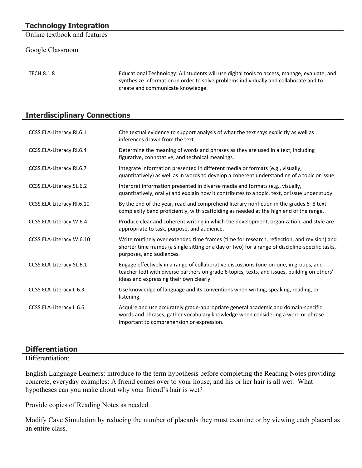# **Technology Integration**

Online textbook and features

Google Classroom

TECH.8.1.8 Educational Technology: All students will use digital tools to access, manage, evaluate, and synthesize information in order to solve problems individually and collaborate and to create and communicate knowledge.

# **Interdisciplinary Connections**

| CCSS.ELA-Literacy.RI.6.1  | Cite textual evidence to support analysis of what the text says explicitly as well as<br>inferences drawn from the text.                                                                                                          |
|---------------------------|-----------------------------------------------------------------------------------------------------------------------------------------------------------------------------------------------------------------------------------|
| CCSS.ELA-Literacy.RI.6.4  | Determine the meaning of words and phrases as they are used in a text, including<br>figurative, connotative, and technical meanings.                                                                                              |
| CCSS.ELA-Literacy.RI.6.7  | Integrate information presented in different media or formats (e.g., visually,<br>quantitatively) as well as in words to develop a coherent understanding of a topic or issue.                                                    |
| CCSS.ELA-Literacy.SL.6.2  | Interpret information presented in diverse media and formats (e.g., visually,<br>quantitatively, orally) and explain how it contributes to a topic, text, or issue under study.                                                   |
| CCSS.ELA-Literacy.RI.6.10 | By the end of the year, read and comprehend literary nonfiction in the grades 6-8 text<br>complexity band proficiently, with scaffolding as needed at the high end of the range.                                                  |
| CCSS.ELA-Literacy.W.6.4   | Produce clear and coherent writing in which the development, organization, and style are<br>appropriate to task, purpose, and audience.                                                                                           |
| CCSS.ELA-Literacy.W.6.10  | Write routinely over extended time frames (time for research, reflection, and revision) and<br>shorter time frames (a single sitting or a day or two) for a range of discipline-specific tasks,<br>purposes, and audiences.       |
| CCSS.ELA-Literacy.SL.6.1  | Engage effectively in a range of collaborative discussions (one-on-one, in groups, and<br>teacher-led) with diverse partners on grade 6 topics, texts, and issues, building on others'<br>ideas and expressing their own clearly. |
| CCSS.ELA-Literacy.L.6.3   | Use knowledge of language and its conventions when writing, speaking, reading, or<br>listening.                                                                                                                                   |
| CCSS.ELA-Literacy.L.6.6   | Acquire and use accurately grade-appropriate general academic and domain-specific<br>words and phrases; gather vocabulary knowledge when considering a word or phrase<br>important to comprehension or expression.                |

# **Differentiation**

Differentiation:

English Language Learners: introduce to the term hypothesis before completing the Reading Notes providing concrete, everyday examples: A friend comes over to your house, and his or her hair is all wet. What hypotheses can you make about why your friend's hair is wet?

Provide copies of Reading Notes as needed.

Modify Cave Simulation by reducing the number of placards they must examine or by viewing each placard as an entire class.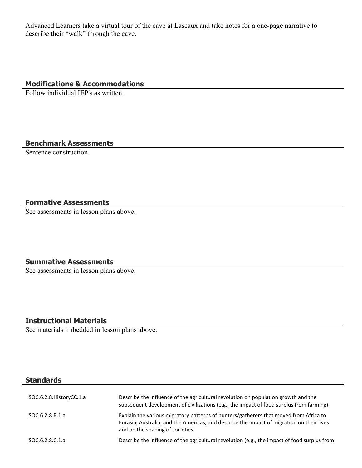Advanced Learners take a virtual tour of the cave at Lascaux and take notes for a one-page narrative to describe their "walk" through the cave.

### **Modifications & Accommodations**

Follow individual IEP's as written.

# **Benchmark Assessments**

Sentence construction

# **Formative Assessments**

See assessments in lesson plans above.

### **Summative Assessments**

See assessments in lesson plans above.

# **Instructional Materials**

See materials imbedded in lesson plans above.

#### **Standards**

| SOC.6.2.8. HistoryCC.1.a | Describe the influence of the agricultural revolution on population growth and the<br>subsequent development of civilizations (e.g., the impact of food surplus from farming).                                         |
|--------------------------|------------------------------------------------------------------------------------------------------------------------------------------------------------------------------------------------------------------------|
| SOC.6.2.8.B.1.a          | Explain the various migratory patterns of hunters/gatherers that moved from Africa to<br>Eurasia, Australia, and the Americas, and describe the impact of migration on their lives<br>and on the shaping of societies. |
| SOC.6.2.8.C.1.a          | Describe the influence of the agricultural revolution (e.g., the impact of food surplus from                                                                                                                           |